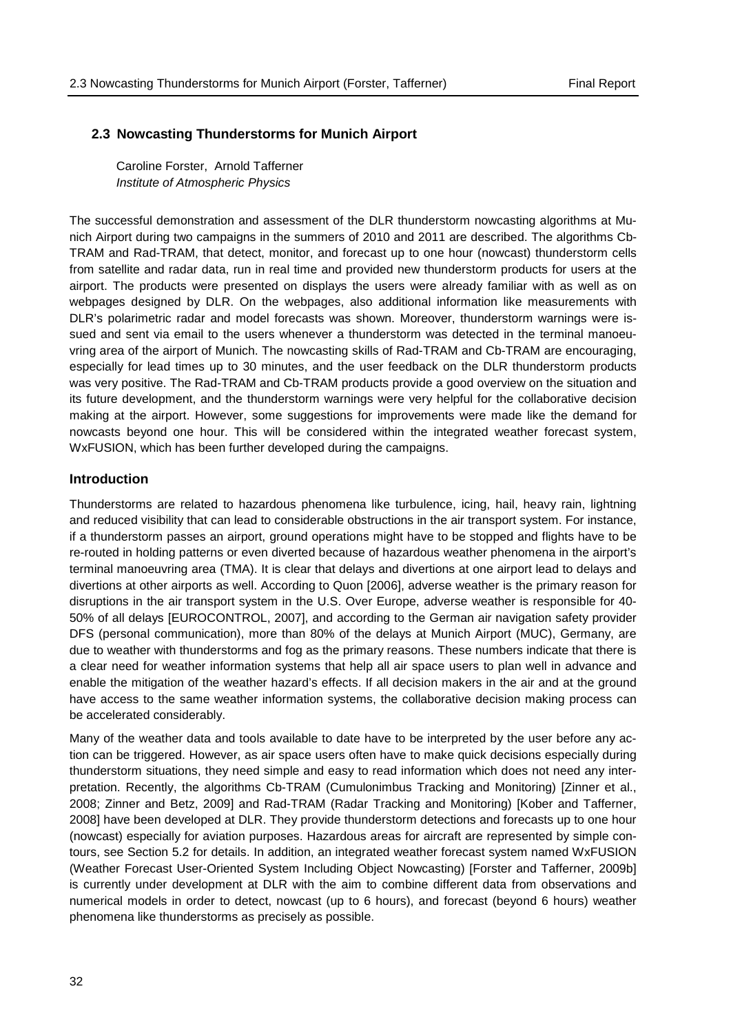## **2.3 Nowcasting Thunderstorms for Munich Airport**

Caroline Forster, Arnold Tafferner *Institute of Atmospheric Physics* 

The successful demonstration and assessment of the DLR thunderstorm nowcasting algorithms at Munich Airport during two campaigns in the summers of 2010 and 2011 are described. The algorithms Cb-TRAM and Rad-TRAM, that detect, monitor, and forecast up to one hour (nowcast) thunderstorm cells from satellite and radar data, run in real time and provided new thunderstorm products for users at the airport. The products were presented on displays the users were already familiar with as well as on webpages designed by DLR. On the webpages, also additional information like measurements with DLR's polarimetric radar and model forecasts was shown. Moreover, thunderstorm warnings were issued and sent via email to the users whenever a thunderstorm was detected in the terminal manoeuvring area of the airport of Munich. The nowcasting skills of Rad-TRAM and Cb-TRAM are encouraging, especially for lead times up to 30 minutes, and the user feedback on the DLR thunderstorm products was very positive. The Rad-TRAM and Cb-TRAM products provide a good overview on the situation and its future development, and the thunderstorm warnings were very helpful for the collaborative decision making at the airport. However, some suggestions for improvements were made like the demand for nowcasts beyond one hour. This will be considered within the integrated weather forecast system, WxFUSION, which has been further developed during the campaigns.

## **Introduction**

Thunderstorms are related to hazardous phenomena like turbulence, icing, hail, heavy rain, lightning and reduced visibility that can lead to considerable obstructions in the air transport system. For instance, if a thunderstorm passes an airport, ground operations might have to be stopped and flights have to be re-routed in holding patterns or even diverted because of hazardous weather phenomena in the airport's terminal manoeuvring area (TMA). It is clear that delays and divertions at one airport lead to delays and divertions at other airports as well. According to Quon [2006], adverse weather is the primary reason for disruptions in the air transport system in the U.S. Over Europe, adverse weather is responsible for 40- 50% of all delays [EUROCONTROL, 2007], and according to the German air navigation safety provider DFS (personal communication), more than 80% of the delays at Munich Airport (MUC), Germany, are due to weather with thunderstorms and fog as the primary reasons. These numbers indicate that there is a clear need for weather information systems that help all air space users to plan well in advance and enable the mitigation of the weather hazard's effects. If all decision makers in the air and at the ground have access to the same weather information systems, the collaborative decision making process can be accelerated considerably.

Many of the weather data and tools available to date have to be interpreted by the user before any action can be triggered. However, as air space users often have to make quick decisions especially during thunderstorm situations, they need simple and easy to read information which does not need any interpretation. Recently, the algorithms Cb-TRAM (Cumulonimbus Tracking and Monitoring) [Zinner et al., 2008; Zinner and Betz, 2009] and Rad-TRAM (Radar Tracking and Monitoring) [Kober and Tafferner, 2008] have been developed at DLR. They provide thunderstorm detections and forecasts up to one hour (nowcast) especially for aviation purposes. Hazardous areas for aircraft are represented by simple contours, see Section 5.2 for details. In addition, an integrated weather forecast system named WxFUSION (Weather Forecast User-Oriented System Including Object Nowcasting) [Forster and Tafferner, 2009b] is currently under development at DLR with the aim to combine different data from observations and numerical models in order to detect, nowcast (up to 6 hours), and forecast (beyond 6 hours) weather phenomena like thunderstorms as precisely as possible.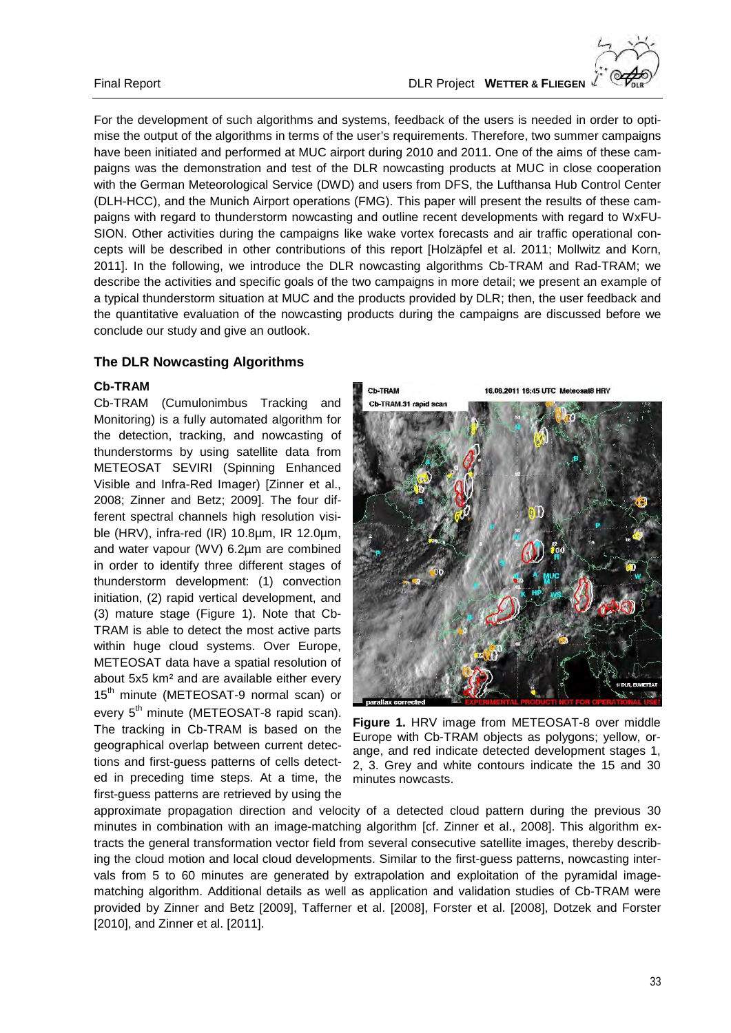For the development of such algorithms and systems, feedback of the users is needed in order to optimise the output of the algorithms in terms of the user's requirements. Therefore, two summer campaigns have been initiated and performed at MUC airport during 2010 and 2011. One of the aims of these campaigns was the demonstration and test of the DLR nowcasting products at MUC in close cooperation with the German Meteorological Service (DWD) and users from DFS, the Lufthansa Hub Control Center (DLH-HCC), and the Munich Airport operations (FMG). This paper will present the results of these campaigns with regard to thunderstorm nowcasting and outline recent developments with regard to WxFU-SION. Other activities during the campaigns like wake vortex forecasts and air traffic operational concepts will be described in other contributions of this report [Holzäpfel et al. 2011; Mollwitz and Korn, 2011]. In the following, we introduce the DLR nowcasting algorithms Cb-TRAM and Rad-TRAM; we describe the activities and specific goals of the two campaigns in more detail; we present an example of a typical thunderstorm situation at MUC and the products provided by DLR; then, the user feedback and the quantitative evaluation of the nowcasting products during the campaigns are discussed before we conclude our study and give an outlook.

## **The DLR Nowcasting Algorithms**

## **Cb-TRAM**

Cb-TRAM (Cumulonimbus Tracking and Monitoring) is a fully automated algorithm for the detection, tracking, and nowcasting of thunderstorms by using satellite data from METEOSAT SEVIRI (Spinning Enhanced Visible and Infra-Red Imager) [Zinner et al., 2008; Zinner and Betz; 2009]. The four different spectral channels high resolution visible (HRV), infra-red (IR) 10.8µm, IR 12.0µm, and water vapour (WV) 6.2µm are combined in order to identify three different stages of thunderstorm development: (1) convection initiation, (2) rapid vertical development, and (3) mature stage (Figure 1). Note that Cb-TRAM is able to detect the most active parts within huge cloud systems. Over Europe, METEOSAT data have a spatial resolution of about 5x5 km² and are available either every 15<sup>th</sup> minute (METEOSAT-9 normal scan) or every 5<sup>th</sup> minute (METEOSAT-8 rapid scan). The tracking in Cb-TRAM is based on the geographical overlap between current detections and first-guess patterns of cells detected in preceding time steps. At a time, the first-guess patterns are retrieved by using the



**Figure 1.** HRV image from METEOSAT-8 over middle Europe with Cb-TRAM objects as polygons; yellow, orange, and red indicate detected development stages 1, 2, 3. Grey and white contours indicate the 15 and 30 minutes nowcasts.

approximate propagation direction and velocity of a detected cloud pattern during the previous 30 minutes in combination with an image-matching algorithm [cf. Zinner et al., 2008]. This algorithm extracts the general transformation vector field from several consecutive satellite images, thereby describing the cloud motion and local cloud developments. Similar to the first-guess patterns, nowcasting intervals from 5 to 60 minutes are generated by extrapolation and exploitation of the pyramidal imagematching algorithm. Additional details as well as application and validation studies of Cb-TRAM were provided by Zinner and Betz [2009], Tafferner et al. [2008], Forster et al. [2008], Dotzek and Forster [2010], and Zinner et al. [2011].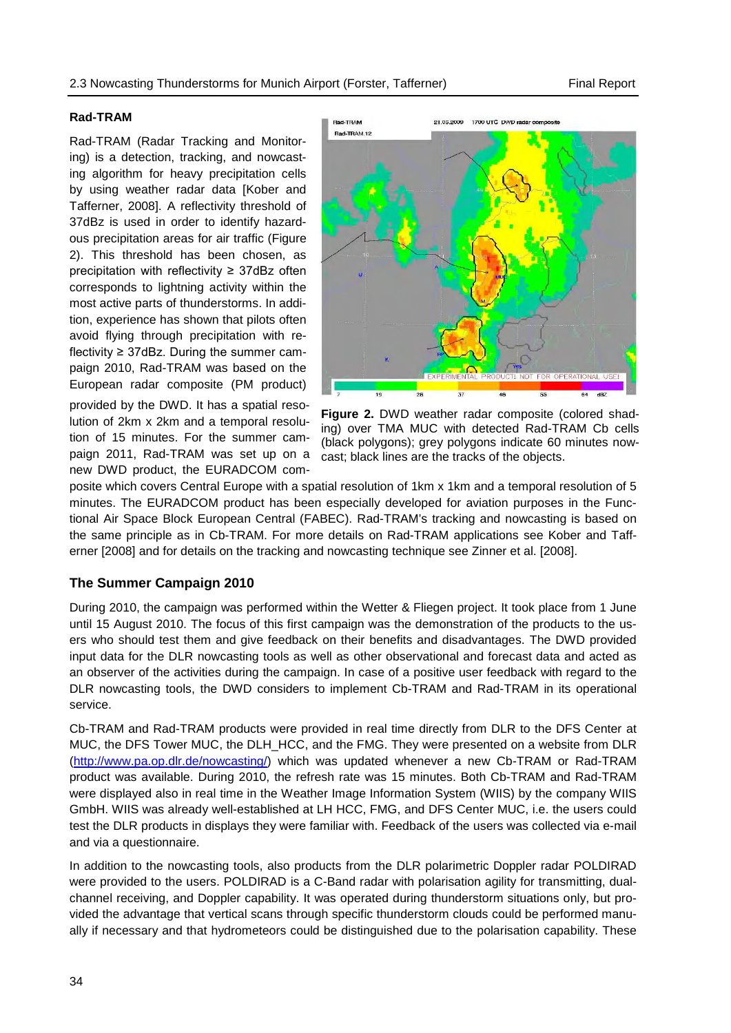## **Rad-TRAM**

Rad-TRAM (Radar Tracking and Monitoring) is a detection, tracking, and nowcasting algorithm for heavy precipitation cells by using weather radar data [Kober and Tafferner, 2008]. A reflectivity threshold of 37dBz is used in order to identify hazardous precipitation areas for air traffic (Figure 2). This threshold has been chosen, as precipitation with reflectivity  $\geq$  37dBz often corresponds to lightning activity within the most active parts of thunderstorms. In addition, experience has shown that pilots often avoid flying through precipitation with reflectivity ≥ 37dBz. During the summer campaign 2010, Rad-TRAM was based on the European radar composite (PM product) provided by the DWD. It has a spatial resolution of 2km x 2km and a temporal resolution of 15 minutes. For the summer campaign 2011, Rad-TRAM was set up on a new DWD product, the EURADCOM com-



**Figure 2.** DWD weather radar composite (colored shading) over TMA MUC with detected Rad-TRAM Cb cells (black polygons); grey polygons indicate 60 minutes nowcast; black lines are the tracks of the objects.

posite which covers Central Europe with a spatial resolution of 1km x 1km and a temporal resolution of 5 minutes. The EURADCOM product has been especially developed for aviation purposes in the Functional Air Space Block European Central (FABEC). Rad-TRAM's tracking and nowcasting is based on the same principle as in Cb-TRAM. For more details on Rad-TRAM applications see Kober and Tafferner [2008] and for details on the tracking and nowcasting technique see Zinner et al. [2008].

## **The Summer Campaign 2010**

During 2010, the campaign was performed within the Wetter & Fliegen project. It took place from 1 June until 15 August 2010. The focus of this first campaign was the demonstration of the products to the users who should test them and give feedback on their benefits and disadvantages. The DWD provided input data for the DLR nowcasting tools as well as other observational and forecast data and acted as an observer of the activities during the campaign. In case of a positive user feedback with regard to the DLR nowcasting tools, the DWD considers to implement Cb-TRAM and Rad-TRAM in its operational service.

Cb-TRAM and Rad-TRAM products were provided in real time directly from DLR to the DFS Center at MUC, the DFS Tower MUC, the DLH\_HCC, and the FMG. They were presented on a website from DLR [\(http://www.pa.op.dlr.de/nowcasting/\)](http://www.pa.op.dlr.de/nowcasting/) which was updated whenever a new Cb-TRAM or Rad-TRAM product was available. During 2010, the refresh rate was 15 minutes. Both Cb-TRAM and Rad-TRAM were displayed also in real time in the Weather Image Information System (WIIS) by the company WIIS GmbH. WIIS was already well-established at LH HCC, FMG, and DFS Center MUC, i.e. the users could test the DLR products in displays they were familiar with. Feedback of the users was collected via e-mail and via a questionnaire.

In addition to the nowcasting tools, also products from the DLR polarimetric Doppler radar POLDIRAD were provided to the users. POLDIRAD is a C-Band radar with polarisation agility for transmitting, dualchannel receiving, and Doppler capability. It was operated during thunderstorm situations only, but provided the advantage that vertical scans through specific thunderstorm clouds could be performed manually if necessary and that hydrometeors could be distinguished due to the polarisation capability. These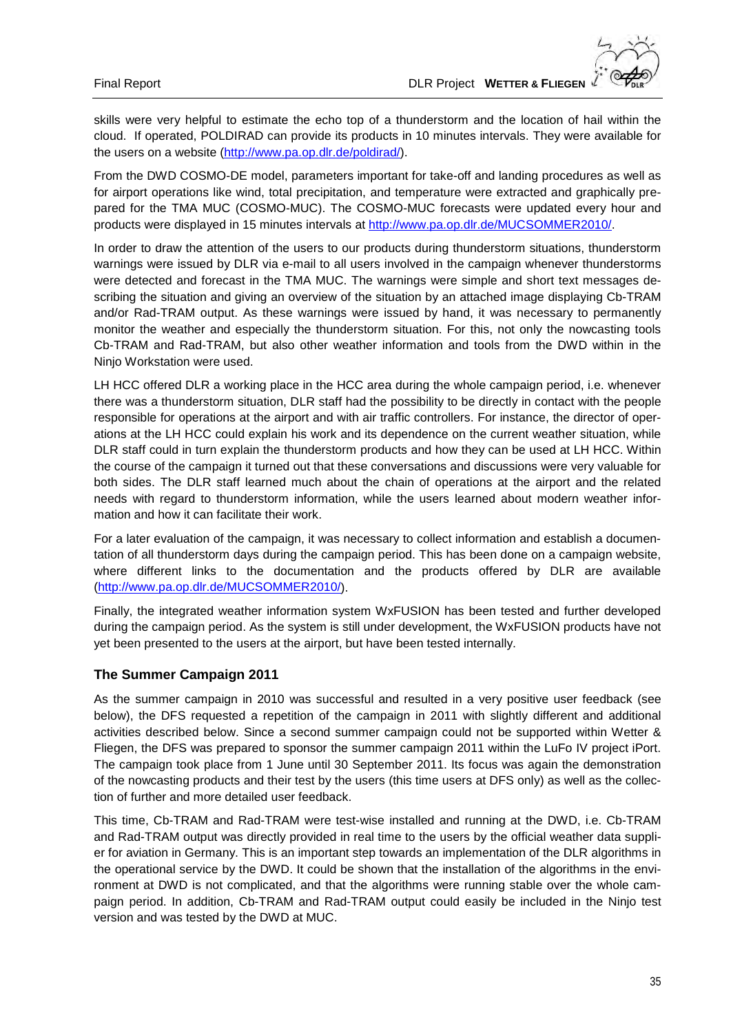skills were very helpful to estimate the echo top of a thunderstorm and the location of hail within the cloud. If operated, POLDIRAD can provide its products in 10 minutes intervals. They were available for the users on a website [\(http://www.pa.op.dlr.de/poldirad/\)](http://www.pa.op.dlr.de/poldirad/).

From the DWD COSMO-DE model, parameters important for take-off and landing procedures as well as for airport operations like wind, total precipitation, and temperature were extracted and graphically prepared for the TMA MUC (COSMO-MUC). The COSMO-MUC forecasts were updated every hour and products were displayed in 15 minutes intervals at [http://www.pa.op.dlr.de/MUCSOMMER2010/.](http://www.pa.op.dlr.de/MUCSOMMER2010/)

In order to draw the attention of the users to our products during thunderstorm situations, thunderstorm warnings were issued by DLR via e-mail to all users involved in the campaign whenever thunderstorms were detected and forecast in the TMA MUC. The warnings were simple and short text messages describing the situation and giving an overview of the situation by an attached image displaying Cb-TRAM and/or Rad-TRAM output. As these warnings were issued by hand, it was necessary to permanently monitor the weather and especially the thunderstorm situation. For this, not only the nowcasting tools Cb-TRAM and Rad-TRAM, but also other weather information and tools from the DWD within in the Ninjo Workstation were used.

LH HCC offered DLR a working place in the HCC area during the whole campaign period, i.e. whenever there was a thunderstorm situation, DLR staff had the possibility to be directly in contact with the people responsible for operations at the airport and with air traffic controllers. For instance, the director of operations at the LH HCC could explain his work and its dependence on the current weather situation, while DLR staff could in turn explain the thunderstorm products and how they can be used at LH HCC. Within the course of the campaign it turned out that these conversations and discussions were very valuable for both sides. The DLR staff learned much about the chain of operations at the airport and the related needs with regard to thunderstorm information, while the users learned about modern weather information and how it can facilitate their work.

For a later evaluation of the campaign, it was necessary to collect information and establish a documentation of all thunderstorm days during the campaign period. This has been done on a campaign website, where different links to the documentation and the products offered by DLR are available [\(http://www.pa.op.dlr.de/MUCSOMMER2010/\)](http://www.pa.op.dlr.de/MUCSOMMER2010/).

Finally, the integrated weather information system WxFUSION has been tested and further developed during the campaign period. As the system is still under development, the WxFUSION products have not yet been presented to the users at the airport, but have been tested internally.

## **The Summer Campaign 2011**

As the summer campaign in 2010 was successful and resulted in a very positive user feedback (see below), the DFS requested a repetition of the campaign in 2011 with slightly different and additional activities described below. Since a second summer campaign could not be supported within Wetter & Fliegen, the DFS was prepared to sponsor the summer campaign 2011 within the LuFo IV project iPort. The campaign took place from 1 June until 30 September 2011. Its focus was again the demonstration of the nowcasting products and their test by the users (this time users at DFS only) as well as the collection of further and more detailed user feedback.

This time, Cb-TRAM and Rad-TRAM were test-wise installed and running at the DWD, i.e. Cb-TRAM and Rad-TRAM output was directly provided in real time to the users by the official weather data supplier for aviation in Germany. This is an important step towards an implementation of the DLR algorithms in the operational service by the DWD. It could be shown that the installation of the algorithms in the environment at DWD is not complicated, and that the algorithms were running stable over the whole campaign period. In addition, Cb-TRAM and Rad-TRAM output could easily be included in the Ninjo test version and was tested by the DWD at MUC.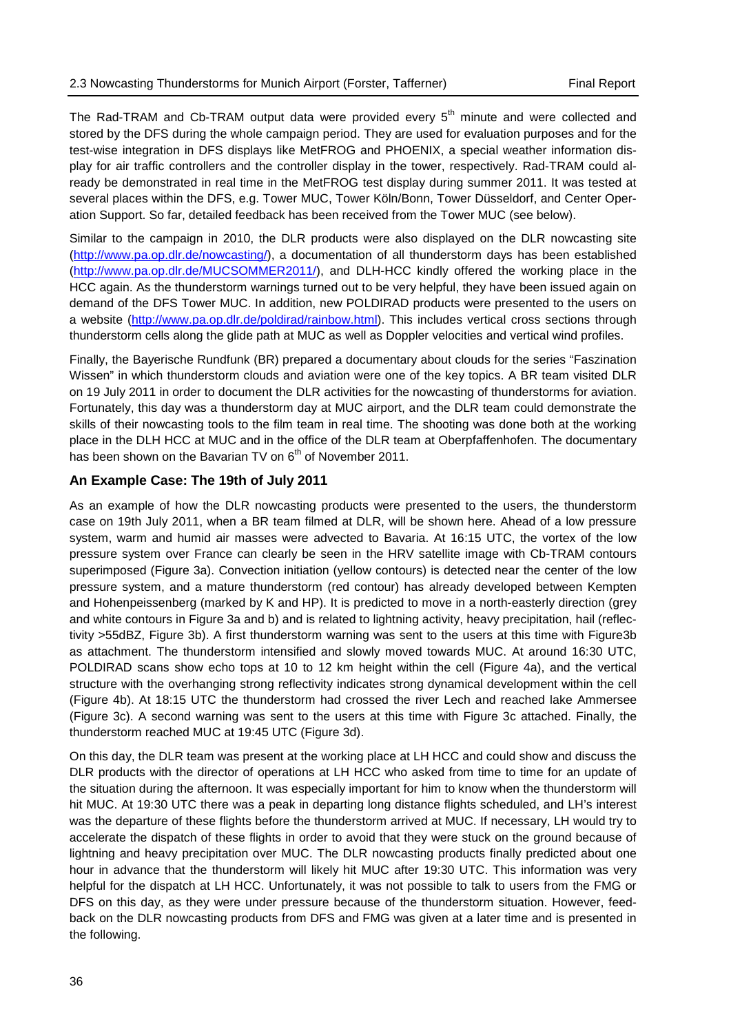The Rad-TRAM and Cb-TRAM output data were provided every 5<sup>th</sup> minute and were collected and stored by the DFS during the whole campaign period. They are used for evaluation purposes and for the test-wise integration in DFS displays like MetFROG and PHOENIX, a special weather information display for air traffic controllers and the controller display in the tower, respectively. Rad-TRAM could already be demonstrated in real time in the MetFROG test display during summer 2011. It was tested at several places within the DFS, e.g. Tower MUC, Tower Köln/Bonn, Tower Düsseldorf, and Center Operation Support. So far, detailed feedback has been received from the Tower MUC (see below).

Similar to the campaign in 2010, the DLR products were also displayed on the DLR nowcasting site [\(http://www.pa.op.dlr.de/nowcasting/\)](http://www.pa.op.dlr.de/nowcasting/), a documentation of all thunderstorm days has been established [\(http://www.pa.op.dlr.de/MUCSOMMER2011/\)](http://www.pa.op.dlr.de/MUCSOMMER2011/), and DLH-HCC kindly offered the working place in the HCC again. As the thunderstorm warnings turned out to be very helpful, they have been issued again on demand of the DFS Tower MUC. In addition, new POLDIRAD products were presented to the users on a website [\(http://www.pa.op.dlr.de/poldirad/rainbow.html\)](http://www.pa.op.dlr.de/poldirad/rainbow.html). This includes vertical cross sections through thunderstorm cells along the glide path at MUC as well as Doppler velocities and vertical wind profiles.

Finally, the Bayerische Rundfunk (BR) prepared a documentary about clouds for the series "Faszination Wissen" in which thunderstorm clouds and aviation were one of the key topics. A BR team visited DLR on 19 July 2011 in order to document the DLR activities for the nowcasting of thunderstorms for aviation. Fortunately, this day was a thunderstorm day at MUC airport, and the DLR team could demonstrate the skills of their nowcasting tools to the film team in real time. The shooting was done both at the working place in the DLH HCC at MUC and in the office of the DLR team at Oberpfaffenhofen. The documentary has been shown on the Bavarian TV on  $6<sup>th</sup>$  of November 2011.

## **An Example Case: The 19th of July 2011**

As an example of how the DLR nowcasting products were presented to the users, the thunderstorm case on 19th July 2011, when a BR team filmed at DLR, will be shown here. Ahead of a low pressure system, warm and humid air masses were advected to Bavaria. At 16:15 UTC, the vortex of the low pressure system over France can clearly be seen in the HRV satellite image with Cb-TRAM contours superimposed (Figure 3a). Convection initiation (yellow contours) is detected near the center of the low pressure system, and a mature thunderstorm (red contour) has already developed between Kempten and Hohenpeissenberg (marked by K and HP). It is predicted to move in a north-easterly direction (grey and white contours in Figure 3a and b) and is related to lightning activity, heavy precipitation, hail (reflectivity >55dBZ, Figure 3b). A first thunderstorm warning was sent to the users at this time with Figure3b as attachment. The thunderstorm intensified and slowly moved towards MUC. At around 16:30 UTC, POLDIRAD scans show echo tops at 10 to 12 km height within the cell (Figure 4a), and the vertical structure with the overhanging strong reflectivity indicates strong dynamical development within the cell (Figure 4b). At 18:15 UTC the thunderstorm had crossed the river Lech and reached lake Ammersee (Figure 3c). A second warning was sent to the users at this time with Figure 3c attached. Finally, the thunderstorm reached MUC at 19:45 UTC (Figure 3d).

On this day, the DLR team was present at the working place at LH HCC and could show and discuss the DLR products with the director of operations at LH HCC who asked from time to time for an update of the situation during the afternoon. It was especially important for him to know when the thunderstorm will hit MUC. At 19:30 UTC there was a peak in departing long distance flights scheduled, and LH's interest was the departure of these flights before the thunderstorm arrived at MUC. If necessary, LH would try to accelerate the dispatch of these flights in order to avoid that they were stuck on the ground because of lightning and heavy precipitation over MUC. The DLR nowcasting products finally predicted about one hour in advance that the thunderstorm will likely hit MUC after 19:30 UTC. This information was very helpful for the dispatch at LH HCC. Unfortunately, it was not possible to talk to users from the FMG or DFS on this day, as they were under pressure because of the thunderstorm situation. However, feedback on the DLR nowcasting products from DFS and FMG was given at a later time and is presented in the following.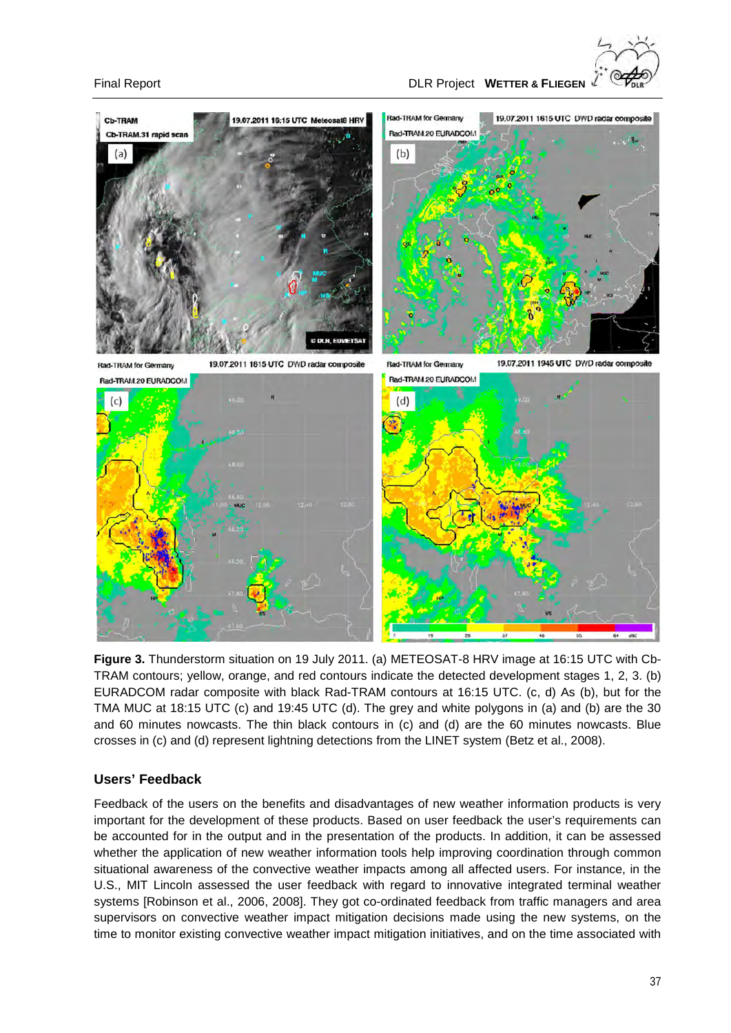Final Report **CONTER A FULL ASSESS** DER Project **WETTER & FLIEGEN** 



**Figure 3.** Thunderstorm situation on 19 July 2011. (a) METEOSAT-8 HRV image at 16:15 UTC with Cb-TRAM contours; yellow, orange, and red contours indicate the detected development stages 1, 2, 3. (b) EURADCOM radar composite with black Rad-TRAM contours at 16:15 UTC. (c, d) As (b), but for the TMA MUC at 18:15 UTC (c) and 19:45 UTC (d). The grey and white polygons in (a) and (b) are the 30 and 60 minutes nowcasts. The thin black contours in (c) and (d) are the 60 minutes nowcasts. Blue crosses in (c) and (d) represent lightning detections from the LINET system (Betz et al., 2008).

# **Users' Feedback**

Feedback of the users on the benefits and disadvantages of new weather information products is very important for the development of these products. Based on user feedback the user's requirements can be accounted for in the output and in the presentation of the products. In addition, it can be assessed whether the application of new weather information tools help improving coordination through common situational awareness of the convective weather impacts among all affected users. For instance, in the U.S., MIT Lincoln assessed the user feedback with regard to innovative integrated terminal weather systems [Robinson et al., 2006, 2008]. They got co-ordinated feedback from traffic managers and area supervisors on convective weather impact mitigation decisions made using the new systems, on the time to monitor existing convective weather impact mitigation initiatives, and on the time associated with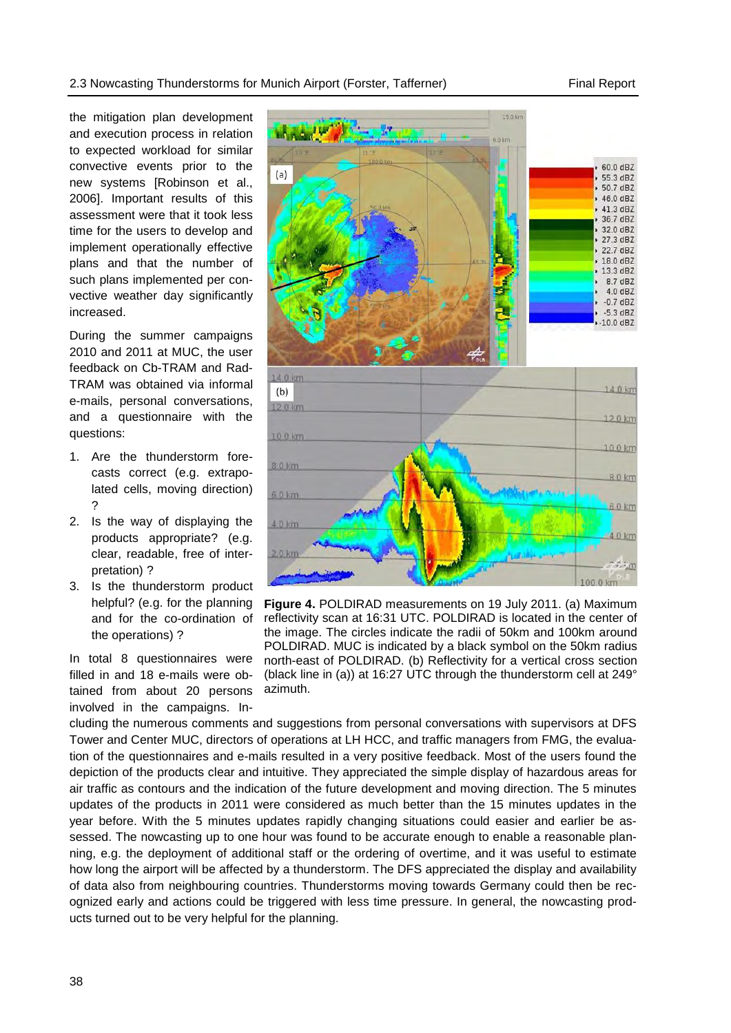the mitigation plan development and execution process in relation to expected workload for similar convective events prior to the new systems [Robinson et al., 2006]. Important results of this assessment were that it took less time for the users to develop and implement operationally effective plans and that the number of such plans implemented per convective weather day significantly increased.

During the summer campaigns 2010 and 2011 at MUC, the user feedback on Cb-TRAM and Rad-TRAM was obtained via informal e-mails, personal conversations, and a questionnaire with the questions:

- 1. Are the thunderstorm forecasts correct (e.g. extrapolated cells, moving direction) ?
- 2. Is the way of displaying the products appropriate? (e.g. clear, readable, free of interpretation) ?
- 3. Is the thunderstorm product helpful? (e.g. for the planning and for the co-ordination of the operations) ?

In total 8 questionnaires were filled in and 18 e-mails were obtained from about 20 persons involved in the campaigns. In-



**Figure 4.** POLDIRAD measurements on 19 July 2011. (a) Maximum reflectivity scan at 16:31 UTC. POLDIRAD is located in the center of the image. The circles indicate the radii of 50km and 100km around POLDIRAD. MUC is indicated by a black symbol on the 50km radius north-east of POLDIRAD. (b) Reflectivity for a vertical cross section (black line in (a)) at 16:27 UTC through the thunderstorm cell at 249° azimuth.

cluding the numerous comments and suggestions from personal conversations with supervisors at DFS Tower and Center MUC, directors of operations at LH HCC, and traffic managers from FMG, the evaluation of the questionnaires and e-mails resulted in a very positive feedback. Most of the users found the depiction of the products clear and intuitive. They appreciated the simple display of hazardous areas for air traffic as contours and the indication of the future development and moving direction. The 5 minutes updates of the products in 2011 were considered as much better than the 15 minutes updates in the year before. With the 5 minutes updates rapidly changing situations could easier and earlier be assessed. The nowcasting up to one hour was found to be accurate enough to enable a reasonable planning, e.g. the deployment of additional staff or the ordering of overtime, and it was useful to estimate how long the airport will be affected by a thunderstorm. The DFS appreciated the display and availability of data also from neighbouring countries. Thunderstorms moving towards Germany could then be recognized early and actions could be triggered with less time pressure. In general, the nowcasting products turned out to be very helpful for the planning.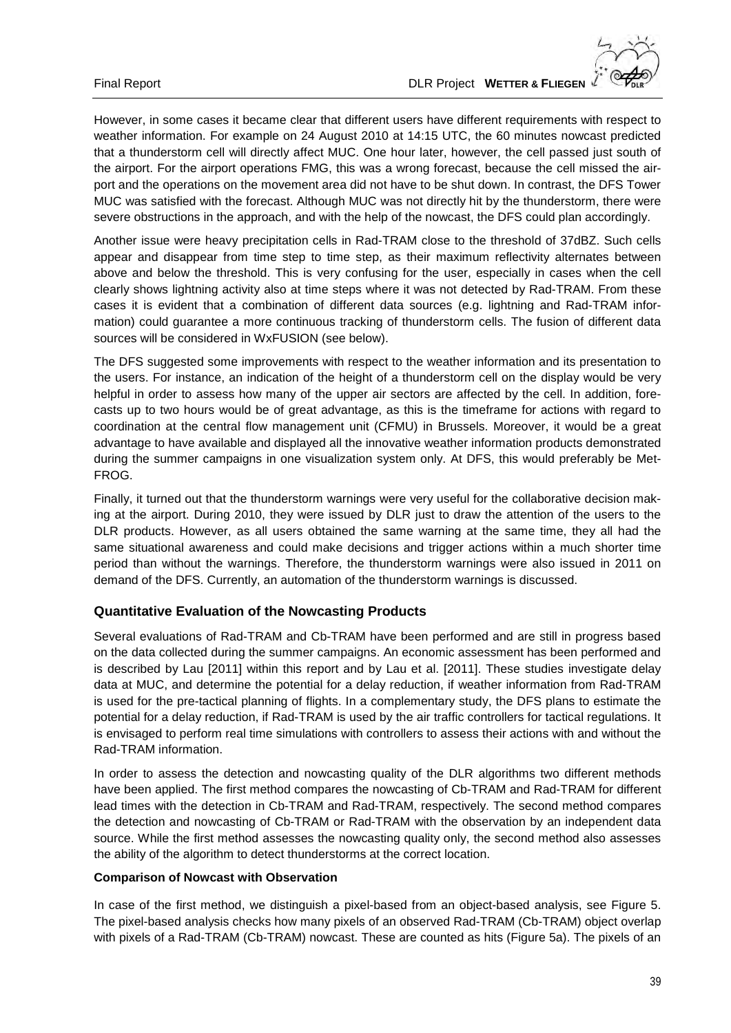However, in some cases it became clear that different users have different requirements with respect to weather information. For example on 24 August 2010 at 14:15 UTC, the 60 minutes nowcast predicted that a thunderstorm cell will directly affect MUC. One hour later, however, the cell passed just south of the airport. For the airport operations FMG, this was a wrong forecast, because the cell missed the airport and the operations on the movement area did not have to be shut down. In contrast, the DFS Tower MUC was satisfied with the forecast. Although MUC was not directly hit by the thunderstorm, there were severe obstructions in the approach, and with the help of the nowcast, the DFS could plan accordingly.

Another issue were heavy precipitation cells in Rad-TRAM close to the threshold of 37dBZ. Such cells appear and disappear from time step to time step, as their maximum reflectivity alternates between above and below the threshold. This is very confusing for the user, especially in cases when the cell clearly shows lightning activity also at time steps where it was not detected by Rad-TRAM. From these cases it is evident that a combination of different data sources (e.g. lightning and Rad-TRAM information) could guarantee a more continuous tracking of thunderstorm cells. The fusion of different data sources will be considered in WxFUSION (see below).

The DFS suggested some improvements with respect to the weather information and its presentation to the users. For instance, an indication of the height of a thunderstorm cell on the display would be very helpful in order to assess how many of the upper air sectors are affected by the cell. In addition, forecasts up to two hours would be of great advantage, as this is the timeframe for actions with regard to coordination at the central flow management unit (CFMU) in Brussels. Moreover, it would be a great advantage to have available and displayed all the innovative weather information products demonstrated during the summer campaigns in one visualization system only. At DFS, this would preferably be Met-FROG.

Finally, it turned out that the thunderstorm warnings were very useful for the collaborative decision making at the airport. During 2010, they were issued by DLR just to draw the attention of the users to the DLR products. However, as all users obtained the same warning at the same time, they all had the same situational awareness and could make decisions and trigger actions within a much shorter time period than without the warnings. Therefore, the thunderstorm warnings were also issued in 2011 on demand of the DFS. Currently, an automation of the thunderstorm warnings is discussed.

# **Quantitative Evaluation of the Nowcasting Products**

Several evaluations of Rad-TRAM and Cb-TRAM have been performed and are still in progress based on the data collected during the summer campaigns. An economic assessment has been performed and is described by Lau [2011] within this report and by Lau et al. [2011]. These studies investigate delay data at MUC, and determine the potential for a delay reduction, if weather information from Rad-TRAM is used for the pre-tactical planning of flights. In a complementary study, the DFS plans to estimate the potential for a delay reduction, if Rad-TRAM is used by the air traffic controllers for tactical regulations. It is envisaged to perform real time simulations with controllers to assess their actions with and without the Rad-TRAM information.

In order to assess the detection and nowcasting quality of the DLR algorithms two different methods have been applied. The first method compares the nowcasting of Cb-TRAM and Rad-TRAM for different lead times with the detection in Cb-TRAM and Rad-TRAM, respectively. The second method compares the detection and nowcasting of Cb-TRAM or Rad-TRAM with the observation by an independent data source. While the first method assesses the nowcasting quality only, the second method also assesses the ability of the algorithm to detect thunderstorms at the correct location.

## **Comparison of Nowcast with Observation**

In case of the first method, we distinguish a pixel-based from an object-based analysis, see Figure 5. The pixel-based analysis checks how many pixels of an observed Rad-TRAM (Cb-TRAM) object overlap with pixels of a Rad-TRAM (Cb-TRAM) nowcast. These are counted as hits (Figure 5a). The pixels of an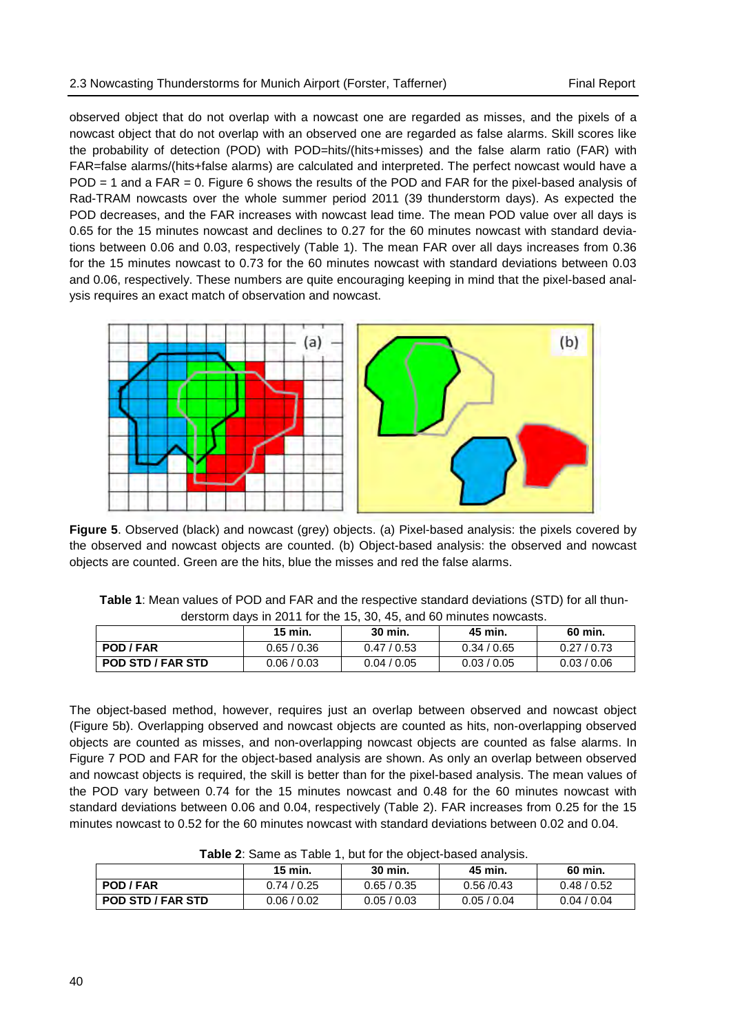observed object that do not overlap with a nowcast one are regarded as misses, and the pixels of a nowcast object that do not overlap with an observed one are regarded as false alarms. Skill scores like the probability of detection (POD) with POD=hits/(hits+misses) and the false alarm ratio (FAR) with FAR=false alarms/(hits+false alarms) are calculated and interpreted. The perfect nowcast would have a POD = 1 and a FAR = 0. Figure 6 shows the results of the POD and FAR for the pixel-based analysis of Rad-TRAM nowcasts over the whole summer period 2011 (39 thunderstorm days). As expected the POD decreases, and the FAR increases with nowcast lead time. The mean POD value over all days is 0.65 for the 15 minutes nowcast and declines to 0.27 for the 60 minutes nowcast with standard deviations between 0.06 and 0.03, respectively (Table 1). The mean FAR over all days increases from 0.36 for the 15 minutes nowcast to 0.73 for the 60 minutes nowcast with standard deviations between 0.03 and 0.06, respectively. These numbers are quite encouraging keeping in mind that the pixel-based analysis requires an exact match of observation and nowcast.



**Figure 5**. Observed (black) and nowcast (grey) objects. (a) Pixel-based analysis: the pixels covered by the observed and nowcast objects are counted. (b) Object-based analysis: the observed and nowcast objects are counted. Green are the hits, blue the misses and red the false alarms.

|                                                                                                       | 15 min | ึ ?n min | $45 \text{ min}$ | 60 min |  |
|-------------------------------------------------------------------------------------------------------|--------|----------|------------------|--------|--|
| derstorm days in 2011 for the 15, 30, 45, and 60 minutes nowcasts.                                    |        |          |                  |        |  |
| <b>Table 1:</b> Mean values of POD and FAR and the respective standard deviations (STD) for all thun- |        |          |                  |        |  |

|                          | 15 min.     | 30 min.     | 45 min.     | 60 min.     |
|--------------------------|-------------|-------------|-------------|-------------|
| POD / FAR                | 0.65/0.36   | 0.47/0.53   | 0.34/0.65   | 0.27/0.73   |
| <b>POD STD / FAR STD</b> | 0.06 / 0.03 | 0.04 / 0.05 | 0.03 / 0.05 | 0.03 / 0.06 |

The object-based method, however, requires just an overlap between observed and nowcast object (Figure 5b). Overlapping observed and nowcast objects are counted as hits, non-overlapping observed objects are counted as misses, and non-overlapping nowcast objects are counted as false alarms. In Figure 7 POD and FAR for the object-based analysis are shown. As only an overlap between observed and nowcast objects is required, the skill is better than for the pixel-based analysis. The mean values of the POD vary between 0.74 for the 15 minutes nowcast and 0.48 for the 60 minutes nowcast with standard deviations between 0.06 and 0.04, respectively (Table 2). FAR increases from 0.25 for the 15 minutes nowcast to 0.52 for the 60 minutes nowcast with standard deviations between 0.02 and 0.04.

|                          | 15 min.     | 30 min.   | 45 min.     | 60 min.     |
|--------------------------|-------------|-----------|-------------|-------------|
| POD / FAR                | 0.74/0.25   | 0.65/0.35 | 0.56/0.43   | 0.48/0.52   |
| <b>POD STD / FAR STD</b> | 0.06 / 0.02 | 0.05/0.03 | 0.05 / 0.04 | 0.04 / 0.04 |

**Table 2**: Same as Table 1, but for the object-based analysis.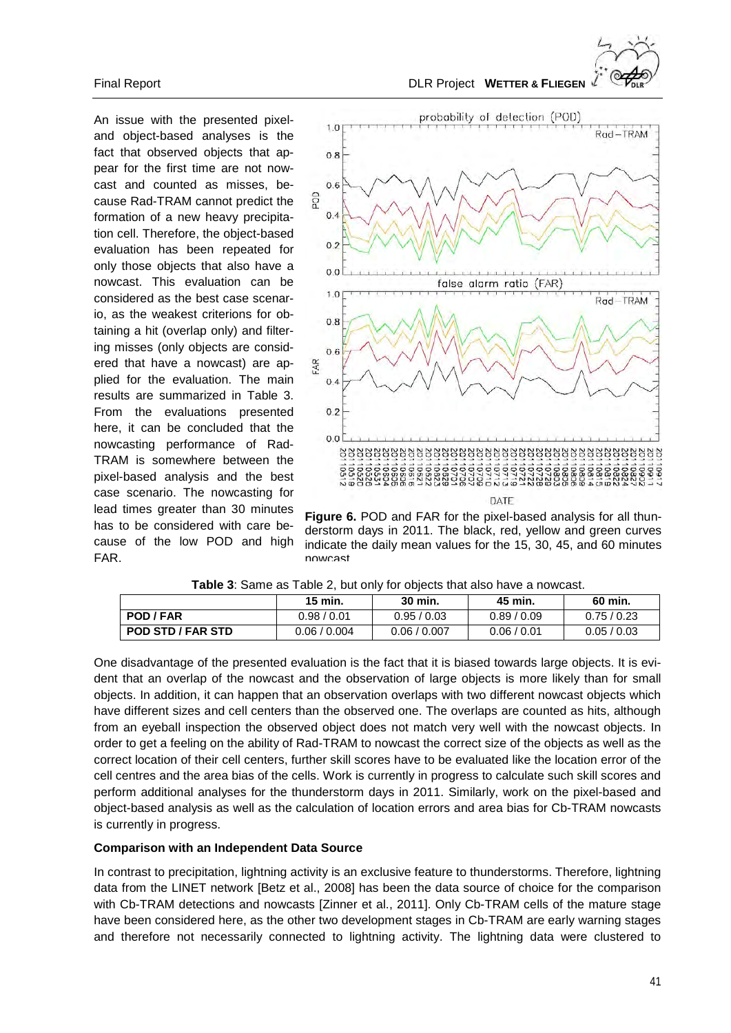An issue with the presented pixeland object-based analyses is the fact that observed objects that appear for the first time are not nowcast and counted as misses, because Rad-TRAM cannot predict the formation of a new heavy precipitation cell. Therefore, the object-based evaluation has been repeated for only those objects that also have a nowcast. This evaluation can be considered as the best case scenario, as the weakest criterions for obtaining a hit (overlap only) and filtering misses (only objects are considered that have a nowcast) are applied for the evaluation. The main results are summarized in Table 3. From the evaluations presented here, it can be concluded that the nowcasting performance of Rad-TRAM is somewhere between the pixel-based analysis and the best case scenario. The nowcasting for lead times greater than 30 minutes has to be considered with care because of the low POD and high FAR.





**Figure 6.** POD and FAR for the pixel-based analysis for all thunderstorm days in 2011. The black, red, yellow and green curves indicate the daily mean values for the 15, 30, 45, and 60 minutes nowcast

|                          | 15 min.      | 30 min.      | 45 min.     | 60 min.   |
|--------------------------|--------------|--------------|-------------|-----------|
| POD / FAR                | 0.98/0.01    | 0.95/0.03    | 0.89/0.09   | 0.75/0.23 |
| <b>POD STD / FAR STD</b> | 0.06 / 0.004 | 0.06 / 0.007 | 0.06 / 0.01 | 0.05/0.03 |

One disadvantage of the presented evaluation is the fact that it is biased towards large objects. It is evident that an overlap of the nowcast and the observation of large objects is more likely than for small objects. In addition, it can happen that an observation overlaps with two different nowcast objects which have different sizes and cell centers than the observed one. The overlaps are counted as hits, although from an eyeball inspection the observed object does not match very well with the nowcast objects. In order to get a feeling on the ability of Rad-TRAM to nowcast the correct size of the objects as well as the correct location of their cell centers, further skill scores have to be evaluated like the location error of the cell centres and the area bias of the cells. Work is currently in progress to calculate such skill scores and perform additional analyses for the thunderstorm days in 2011. Similarly, work on the pixel-based and object-based analysis as well as the calculation of location errors and area bias for Cb-TRAM nowcasts is currently in progress.

## **Comparison with an Independent Data Source**

In contrast to precipitation, lightning activity is an exclusive feature to thunderstorms. Therefore, lightning data from the LINET network [Betz et al., 2008] has been the data source of choice for the comparison with Cb-TRAM detections and nowcasts [Zinner et al., 2011]. Only Cb-TRAM cells of the mature stage have been considered here, as the other two development stages in Cb-TRAM are early warning stages and therefore not necessarily connected to lightning activity. The lightning data were clustered to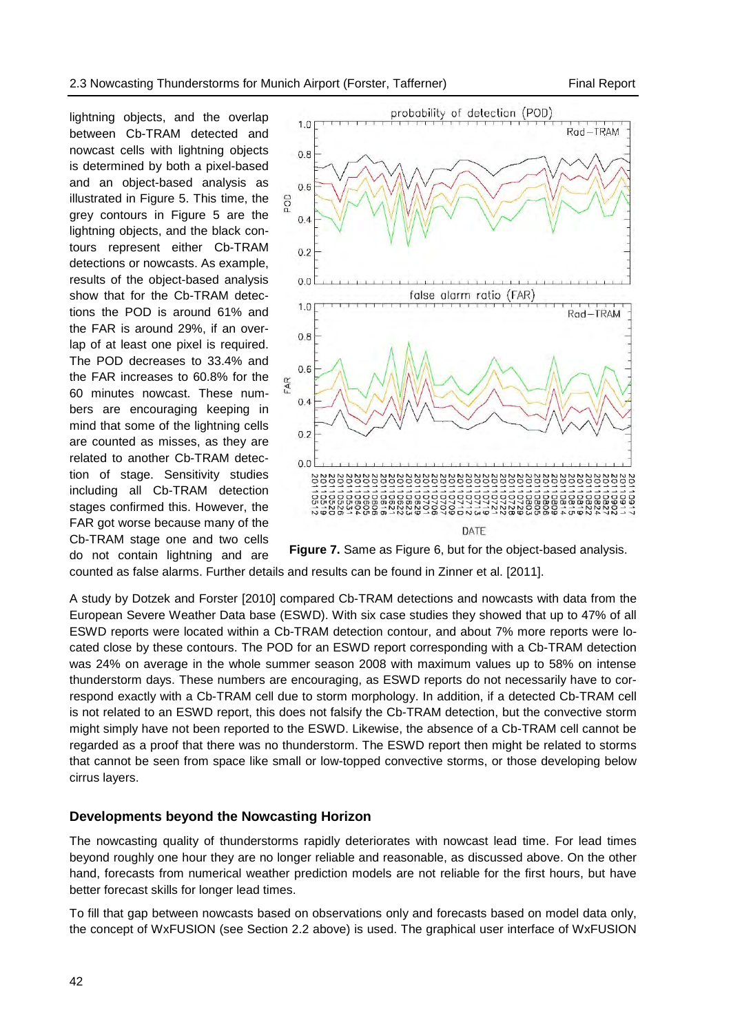lightning objects, and the overlap between Cb-TRAM detected and nowcast cells with lightning objects is determined by both a pixel-based and an object-based analysis as illustrated in Figure 5. This time, the grey contours in Figure 5 are the lightning objects, and the black contours represent either Cb-TRAM detections or nowcasts. As example, results of the object-based analysis show that for the Cb-TRAM detections the POD is around 61% and the FAR is around 29%, if an overlap of at least one pixel is required. The POD decreases to 33.4% and the FAR increases to 60.8% for the 60 minutes nowcast. These numbers are encouraging keeping in mind that some of the lightning cells are counted as misses, as they are related to another Cb-TRAM detection of stage. Sensitivity studies including all Cb-TRAM detection stages confirmed this. However, the FAR got worse because many of the Cb-TRAM stage one and two cells do not contain lightning and are



**Figure 7.** Same as Figure 6, but for the object-based analysis.

counted as false alarms. Further details and results can be found in Zinner et al. [2011].

A study by Dotzek and Forster [2010] compared Cb-TRAM detections and nowcasts with data from the European Severe Weather Data base (ESWD). With six case studies they showed that up to 47% of all ESWD reports were located within a Cb-TRAM detection contour, and about 7% more reports were located close by these contours. The POD for an ESWD report corresponding with a Cb-TRAM detection was 24% on average in the whole summer season 2008 with maximum values up to 58% on intense thunderstorm days. These numbers are encouraging, as ESWD reports do not necessarily have to correspond exactly with a Cb-TRAM cell due to storm morphology. In addition, if a detected Cb-TRAM cell is not related to an ESWD report, this does not falsify the Cb-TRAM detection, but the convective storm might simply have not been reported to the ESWD. Likewise, the absence of a Cb-TRAM cell cannot be regarded as a proof that there was no thunderstorm. The ESWD report then might be related to storms that cannot be seen from space like small or low-topped convective storms, or those developing below cirrus layers.

#### **Developments beyond the Nowcasting Horizon**

The nowcasting quality of thunderstorms rapidly deteriorates with nowcast lead time. For lead times beyond roughly one hour they are no longer reliable and reasonable, as discussed above. On the other hand, forecasts from numerical weather prediction models are not reliable for the first hours, but have better forecast skills for longer lead times.

To fill that gap between nowcasts based on observations only and forecasts based on model data only, the concept of WxFUSION (see Section 2.2 above) is used. The graphical user interface of WxFUSION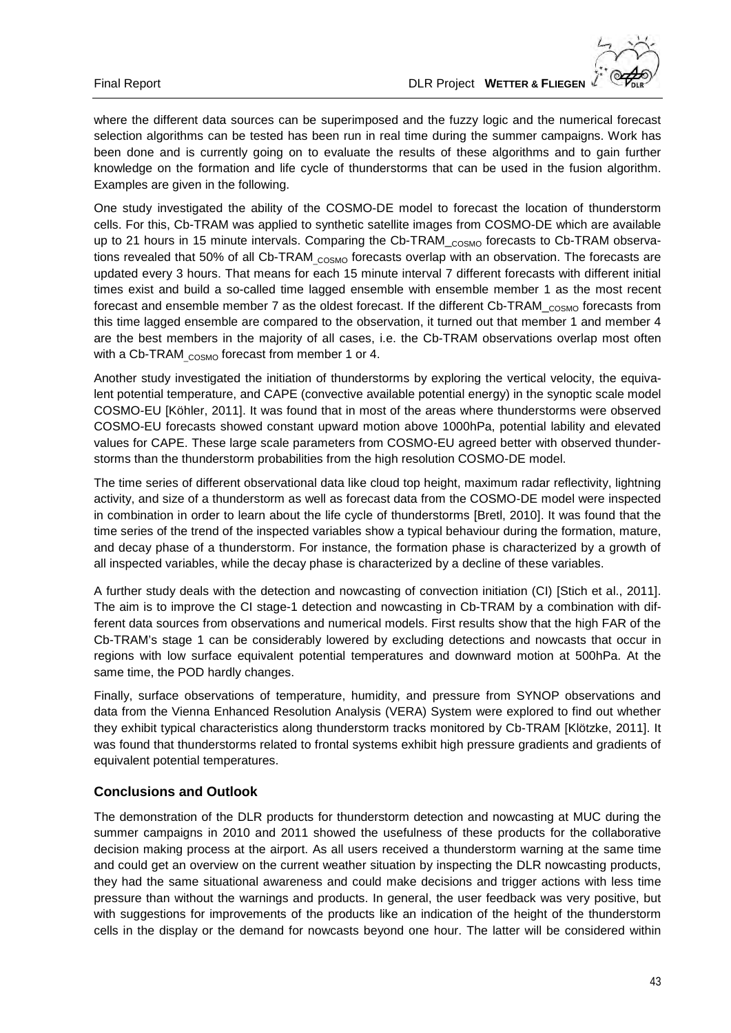where the different data sources can be superimposed and the fuzzy logic and the numerical forecast selection algorithms can be tested has been run in real time during the summer campaigns. Work has been done and is currently going on to evaluate the results of these algorithms and to gain further knowledge on the formation and life cycle of thunderstorms that can be used in the fusion algorithm. Examples are given in the following.

One study investigated the ability of the COSMO-DE model to forecast the location of thunderstorm cells. For this, Cb-TRAM was applied to synthetic satellite images from COSMO-DE which are available up to 21 hours in 15 minute intervals. Comparing the Cb-TRAM  $_{\text{CSMO}}$  forecasts to Cb-TRAM observations revealed that 50% of all Cb-TRAM <sub>COSMO</sub> forecasts overlap with an observation. The forecasts are updated every 3 hours. That means for each 15 minute interval 7 different forecasts with different initial times exist and build a so-called time lagged ensemble with ensemble member 1 as the most recent forecast and ensemble member 7 as the oldest forecast. If the different Cb-TRAM  $_{\text{COSMO}}$  forecasts from this time lagged ensemble are compared to the observation, it turned out that member 1 and member 4 are the best members in the majority of all cases, i.e. the Cb-TRAM observations overlap most often with a Cb-TRAM <sub>COSMO</sub> forecast from member 1 or 4.

Another study investigated the initiation of thunderstorms by exploring the vertical velocity, the equivalent potential temperature, and CAPE (convective available potential energy) in the synoptic scale model COSMO-EU [Köhler, 2011]. It was found that in most of the areas where thunderstorms were observed COSMO-EU forecasts showed constant upward motion above 1000hPa, potential lability and elevated values for CAPE. These large scale parameters from COSMO-EU agreed better with observed thunderstorms than the thunderstorm probabilities from the high resolution COSMO-DE model.

The time series of different observational data like cloud top height, maximum radar reflectivity, lightning activity, and size of a thunderstorm as well as forecast data from the COSMO-DE model were inspected in combination in order to learn about the life cycle of thunderstorms [Bretl, 2010]. It was found that the time series of the trend of the inspected variables show a typical behaviour during the formation, mature, and decay phase of a thunderstorm. For instance, the formation phase is characterized by a growth of all inspected variables, while the decay phase is characterized by a decline of these variables.

A further study deals with the detection and nowcasting of convection initiation (CI) [Stich et al., 2011]. The aim is to improve the CI stage-1 detection and nowcasting in Cb-TRAM by a combination with different data sources from observations and numerical models. First results show that the high FAR of the Cb-TRAM's stage 1 can be considerably lowered by excluding detections and nowcasts that occur in regions with low surface equivalent potential temperatures and downward motion at 500hPa. At the same time, the POD hardly changes.

Finally, surface observations of temperature, humidity, and pressure from SYNOP observations and data from the Vienna Enhanced Resolution Analysis (VERA) System were explored to find out whether they exhibit typical characteristics along thunderstorm tracks monitored by Cb-TRAM [Klötzke, 2011]. It was found that thunderstorms related to frontal systems exhibit high pressure gradients and gradients of equivalent potential temperatures.

## **Conclusions and Outlook**

The demonstration of the DLR products for thunderstorm detection and nowcasting at MUC during the summer campaigns in 2010 and 2011 showed the usefulness of these products for the collaborative decision making process at the airport. As all users received a thunderstorm warning at the same time and could get an overview on the current weather situation by inspecting the DLR nowcasting products, they had the same situational awareness and could make decisions and trigger actions with less time pressure than without the warnings and products. In general, the user feedback was very positive, but with suggestions for improvements of the products like an indication of the height of the thunderstorm cells in the display or the demand for nowcasts beyond one hour. The latter will be considered within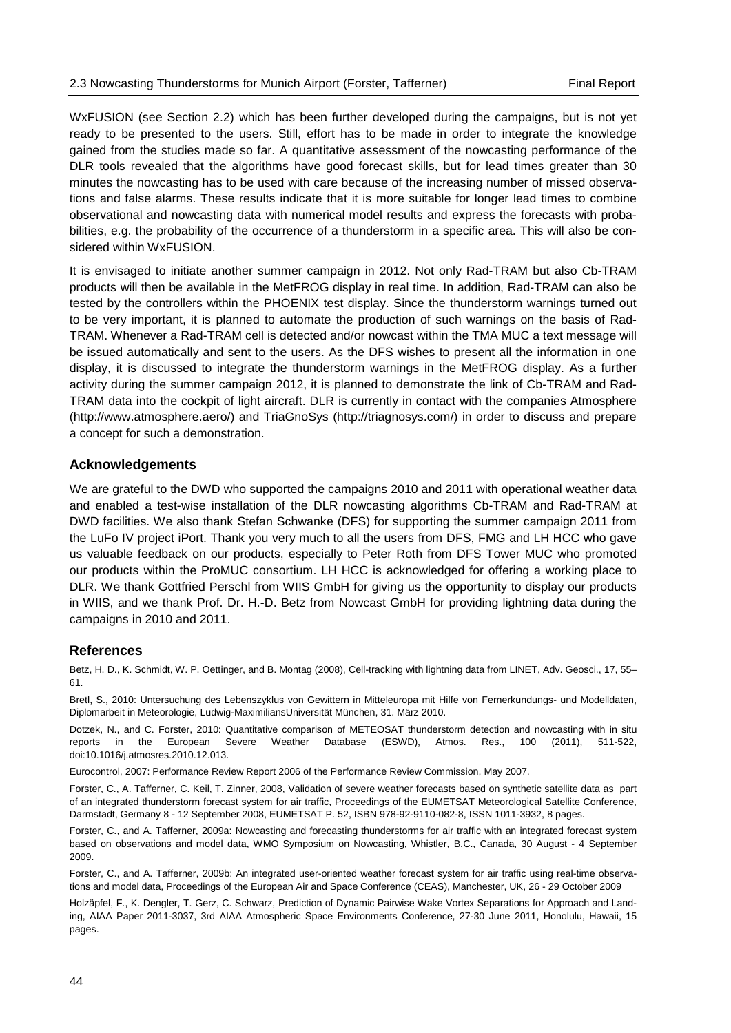WxFUSION (see Section 2.2) which has been further developed during the campaigns, but is not yet ready to be presented to the users. Still, effort has to be made in order to integrate the knowledge gained from the studies made so far. A quantitative assessment of the nowcasting performance of the DLR tools revealed that the algorithms have good forecast skills, but for lead times greater than 30 minutes the nowcasting has to be used with care because of the increasing number of missed observations and false alarms. These results indicate that it is more suitable for longer lead times to combine observational and nowcasting data with numerical model results and express the forecasts with probabilities, e.g. the probability of the occurrence of a thunderstorm in a specific area. This will also be considered within WxFUSION.

It is envisaged to initiate another summer campaign in 2012. Not only Rad-TRAM but also Cb-TRAM products will then be available in the MetFROG display in real time. In addition, Rad-TRAM can also be tested by the controllers within the PHOENIX test display. Since the thunderstorm warnings turned out to be very important, it is planned to automate the production of such warnings on the basis of Rad-TRAM. Whenever a Rad-TRAM cell is detected and/or nowcast within the TMA MUC a text message will be issued automatically and sent to the users. As the DFS wishes to present all the information in one display, it is discussed to integrate the thunderstorm warnings in the MetFROG display. As a further activity during the summer campaign 2012, it is planned to demonstrate the link of Cb-TRAM and Rad-TRAM data into the cockpit of light aircraft. DLR is currently in contact with the companies Atmosphere (http://www.atmosphere.aero/) and TriaGnoSys (http://triagnosys.com/) in order to discuss and prepare a concept for such a demonstration.

## **Acknowledgements**

We are grateful to the DWD who supported the campaigns 2010 and 2011 with operational weather data and enabled a test-wise installation of the DLR nowcasting algorithms Cb-TRAM and Rad-TRAM at DWD facilities. We also thank Stefan Schwanke (DFS) for supporting the summer campaign 2011 from the LuFo IV project iPort. Thank you very much to all the users from DFS, FMG and LH HCC who gave us valuable feedback on our products, especially to Peter Roth from DFS Tower MUC who promoted our products within the ProMUC consortium. LH HCC is acknowledged for offering a working place to DLR. We thank Gottfried Perschl from WIIS GmbH for giving us the opportunity to display our products in WIIS, and we thank Prof. Dr. H.-D. Betz from Nowcast GmbH for providing lightning data during the campaigns in 2010 and 2011.

## **References**

Betz, H. D., K. Schmidt, W. P. Oettinger, and B. Montag (2008), Cell-tracking with lightning data from LINET, Adv. Geosci., 17, 55– 61.

Bretl, S., 2010: Untersuchung des Lebenszyklus von Gewittern in Mitteleuropa mit Hilfe von Fernerkundungs- und Modelldaten, Diplomarbeit in Meteorologie, Ludwig-MaximiliansUniversität München, 31. März 2010.

Dotzek, N., and C. Forster, 2010: Quantitative comparison of METEOSAT thunderstorm detection and nowcasting with in situ reports in the European Severe Weather Database (ESWD), Atmos. Res., 100 (2011), 511-522, doi:10.1016/j.atmosres.2010.12.013.

Eurocontrol, 2007: Performance Review Report 2006 of the Performance Review Commission, May 2007.

Forster, C., A. Tafferner, C. Keil, T. Zinner, 2008, Validation of severe weather forecasts based on synthetic satellite data as part of an integrated thunderstorm forecast system for air traffic, Proceedings of the EUMETSAT Meteorological Satellite Conference, Darmstadt, Germany 8 - 12 September 2008, EUMETSAT P. 52, ISBN 978-92-9110-082-8, ISSN 1011-3932, 8 pages.

Forster, C., and A. Tafferner, 2009a: Nowcasting and forecasting thunderstorms for air traffic with an integrated forecast system based on observations and model data, WMO Symposium on Nowcasting, Whistler, B.C., Canada, 30 August - 4 September 2009.

Forster, C., and A. Tafferner, 2009b: An integrated user-oriented weather forecast system for air traffic using real-time observations and model data, Proceedings of the European Air and Space Conference (CEAS), Manchester, UK, 26 - 29 October 2009

Holzäpfel, F., K. Dengler, T. Gerz, C. Schwarz, Prediction of Dynamic Pairwise Wake Vortex Separations for Approach and Landing, AIAA Paper 2011-3037, 3rd AIAA Atmospheric Space Environments Conference, 27-30 June 2011, Honolulu, Hawaii, 15 pages.